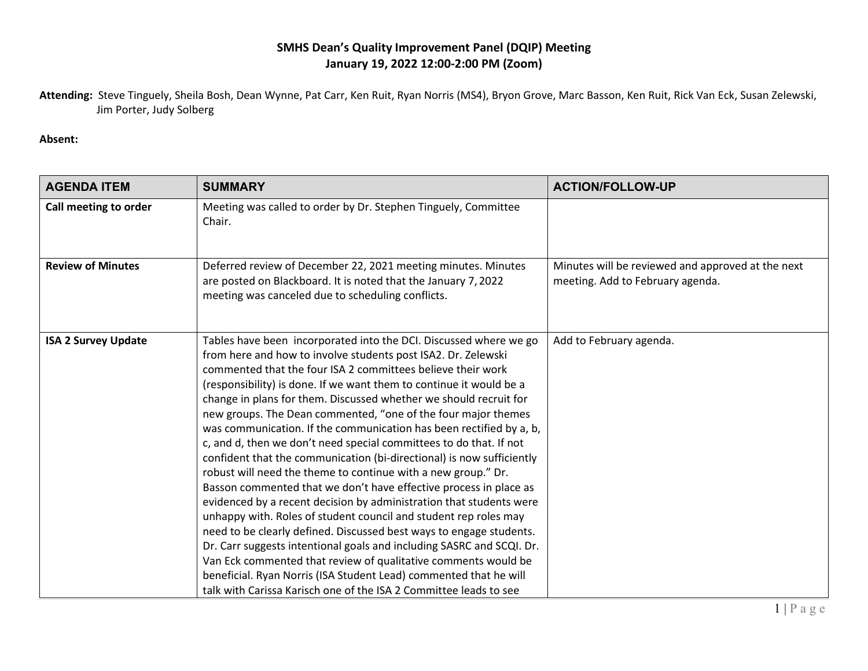## **SMHS Dean's Quality Improvement Panel (DQIP) Meeting January 19, 2022 12:00-2:00 PM (Zoom)**

**Attending:** Steve Tinguely, Sheila Bosh, Dean Wynne, Pat Carr, Ken Ruit, Ryan Norris (MS4), Bryon Grove, Marc Basson, Ken Ruit, Rick Van Eck, Susan Zelewski, Jim Porter, Judy Solberg

## **Absent:**

| <b>AGENDA ITEM</b>         | <b>SUMMARY</b>                                                                                                                                                                                                                                                                                                                                                                                                                                                                                                                                                                                                                                                                                                                                                                                                                                                                                                                                                                                                                                                                                                                                                                                                                                                                    | <b>ACTION/FOLLOW-UP</b>                                                               |
|----------------------------|-----------------------------------------------------------------------------------------------------------------------------------------------------------------------------------------------------------------------------------------------------------------------------------------------------------------------------------------------------------------------------------------------------------------------------------------------------------------------------------------------------------------------------------------------------------------------------------------------------------------------------------------------------------------------------------------------------------------------------------------------------------------------------------------------------------------------------------------------------------------------------------------------------------------------------------------------------------------------------------------------------------------------------------------------------------------------------------------------------------------------------------------------------------------------------------------------------------------------------------------------------------------------------------|---------------------------------------------------------------------------------------|
| Call meeting to order      | Meeting was called to order by Dr. Stephen Tinguely, Committee<br>Chair.                                                                                                                                                                                                                                                                                                                                                                                                                                                                                                                                                                                                                                                                                                                                                                                                                                                                                                                                                                                                                                                                                                                                                                                                          |                                                                                       |
| <b>Review of Minutes</b>   | Deferred review of December 22, 2021 meeting minutes. Minutes<br>are posted on Blackboard. It is noted that the January 7, 2022<br>meeting was canceled due to scheduling conflicts.                                                                                                                                                                                                                                                                                                                                                                                                                                                                                                                                                                                                                                                                                                                                                                                                                                                                                                                                                                                                                                                                                              | Minutes will be reviewed and approved at the next<br>meeting. Add to February agenda. |
| <b>ISA 2 Survey Update</b> | Tables have been incorporated into the DCI. Discussed where we go<br>from here and how to involve students post ISA2. Dr. Zelewski<br>commented that the four ISA 2 committees believe their work<br>(responsibility) is done. If we want them to continue it would be a<br>change in plans for them. Discussed whether we should recruit for<br>new groups. The Dean commented, "one of the four major themes<br>was communication. If the communication has been rectified by a, b,<br>c, and d, then we don't need special committees to do that. If not<br>confident that the communication (bi-directional) is now sufficiently<br>robust will need the theme to continue with a new group." Dr.<br>Basson commented that we don't have effective process in place as<br>evidenced by a recent decision by administration that students were<br>unhappy with. Roles of student council and student rep roles may<br>need to be clearly defined. Discussed best ways to engage students.<br>Dr. Carr suggests intentional goals and including SASRC and SCQI. Dr.<br>Van Eck commented that review of qualitative comments would be<br>beneficial. Ryan Norris (ISA Student Lead) commented that he will<br>talk with Carissa Karisch one of the ISA 2 Committee leads to see | Add to February agenda.                                                               |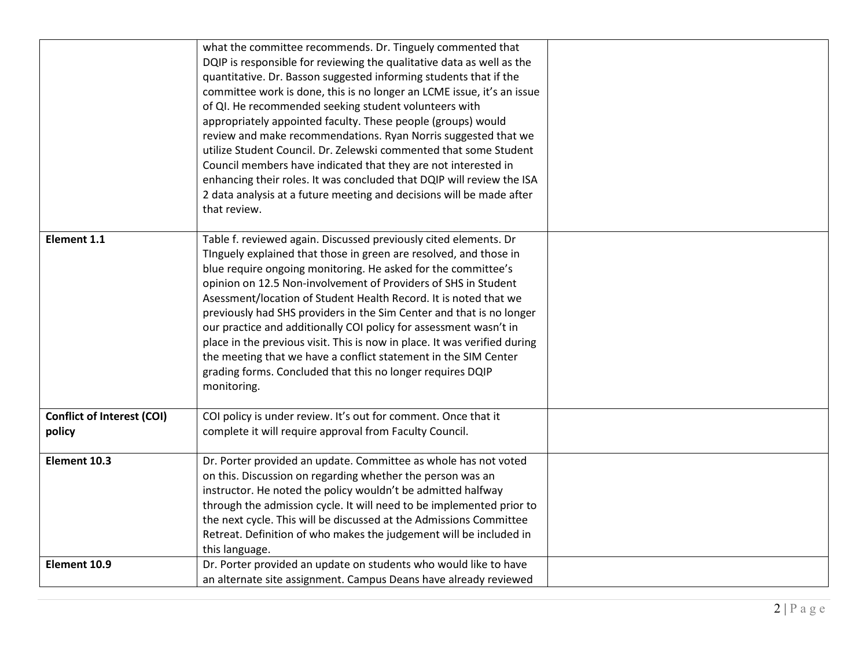|                                             | what the committee recommends. Dr. Tinguely commented that<br>DQIP is responsible for reviewing the qualitative data as well as the<br>quantitative. Dr. Basson suggested informing students that if the<br>committee work is done, this is no longer an LCME issue, it's an issue<br>of QI. He recommended seeking student volunteers with<br>appropriately appointed faculty. These people (groups) would<br>review and make recommendations. Ryan Norris suggested that we<br>utilize Student Council. Dr. Zelewski commented that some Student<br>Council members have indicated that they are not interested in<br>enhancing their roles. It was concluded that DQIP will review the ISA<br>2 data analysis at a future meeting and decisions will be made after |  |
|---------------------------------------------|-----------------------------------------------------------------------------------------------------------------------------------------------------------------------------------------------------------------------------------------------------------------------------------------------------------------------------------------------------------------------------------------------------------------------------------------------------------------------------------------------------------------------------------------------------------------------------------------------------------------------------------------------------------------------------------------------------------------------------------------------------------------------|--|
|                                             | that review.                                                                                                                                                                                                                                                                                                                                                                                                                                                                                                                                                                                                                                                                                                                                                          |  |
| <b>Element 1.1</b>                          | Table f. reviewed again. Discussed previously cited elements. Dr<br>Tinguely explained that those in green are resolved, and those in<br>blue require ongoing monitoring. He asked for the committee's<br>opinion on 12.5 Non-involvement of Providers of SHS in Student<br>Asessment/location of Student Health Record. It is noted that we<br>previously had SHS providers in the Sim Center and that is no longer<br>our practice and additionally COI policy for assessment wasn't in<br>place in the previous visit. This is now in place. It was verified during<br>the meeting that we have a conflict statement in the SIM Center<br>grading forms. Concluded that this no longer requires DQIP<br>monitoring.                                                |  |
| <b>Conflict of Interest (COI)</b><br>policy | COI policy is under review. It's out for comment. Once that it<br>complete it will require approval from Faculty Council.                                                                                                                                                                                                                                                                                                                                                                                                                                                                                                                                                                                                                                             |  |
| Element 10.3                                | Dr. Porter provided an update. Committee as whole has not voted<br>on this. Discussion on regarding whether the person was an<br>instructor. He noted the policy wouldn't be admitted halfway<br>through the admission cycle. It will need to be implemented prior to<br>the next cycle. This will be discussed at the Admissions Committee<br>Retreat. Definition of who makes the judgement will be included in<br>this language.                                                                                                                                                                                                                                                                                                                                   |  |
| Element 10.9                                | Dr. Porter provided an update on students who would like to have<br>an alternate site assignment. Campus Deans have already reviewed                                                                                                                                                                                                                                                                                                                                                                                                                                                                                                                                                                                                                                  |  |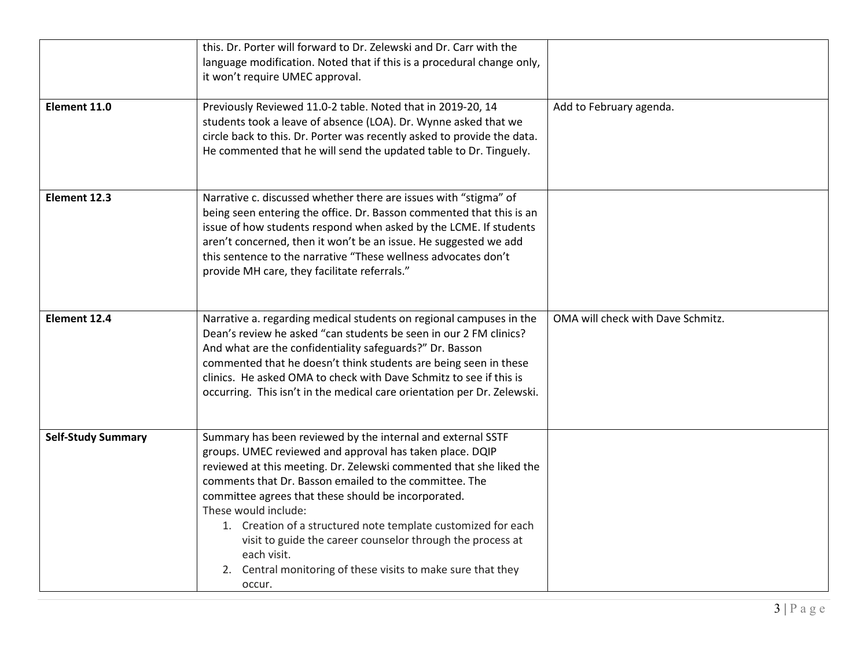| Element 11.0              | this. Dr. Porter will forward to Dr. Zelewski and Dr. Carr with the<br>language modification. Noted that if this is a procedural change only,<br>it won't require UMEC approval.<br>Previously Reviewed 11.0-2 table. Noted that in 2019-20, 14<br>students took a leave of absence (LOA). Dr. Wynne asked that we<br>circle back to this. Dr. Porter was recently asked to provide the data.<br>He commented that he will send the updated table to Dr. Tinguely.                                                                                              | Add to February agenda.           |
|---------------------------|-----------------------------------------------------------------------------------------------------------------------------------------------------------------------------------------------------------------------------------------------------------------------------------------------------------------------------------------------------------------------------------------------------------------------------------------------------------------------------------------------------------------------------------------------------------------|-----------------------------------|
| Element 12.3              | Narrative c. discussed whether there are issues with "stigma" of<br>being seen entering the office. Dr. Basson commented that this is an<br>issue of how students respond when asked by the LCME. If students<br>aren't concerned, then it won't be an issue. He suggested we add<br>this sentence to the narrative "These wellness advocates don't<br>provide MH care, they facilitate referrals."                                                                                                                                                             |                                   |
| Element 12.4              | Narrative a. regarding medical students on regional campuses in the<br>Dean's review he asked "can students be seen in our 2 FM clinics?<br>And what are the confidentiality safeguards?" Dr. Basson<br>commented that he doesn't think students are being seen in these<br>clinics. He asked OMA to check with Dave Schmitz to see if this is<br>occurring. This isn't in the medical care orientation per Dr. Zelewski.                                                                                                                                       | OMA will check with Dave Schmitz. |
| <b>Self-Study Summary</b> | Summary has been reviewed by the internal and external SSTF<br>groups. UMEC reviewed and approval has taken place. DQIP<br>reviewed at this meeting. Dr. Zelewski commented that she liked the<br>comments that Dr. Basson emailed to the committee. The<br>committee agrees that these should be incorporated.<br>These would include:<br>1. Creation of a structured note template customized for each<br>visit to guide the career counselor through the process at<br>each visit.<br>2. Central monitoring of these visits to make sure that they<br>occur. |                                   |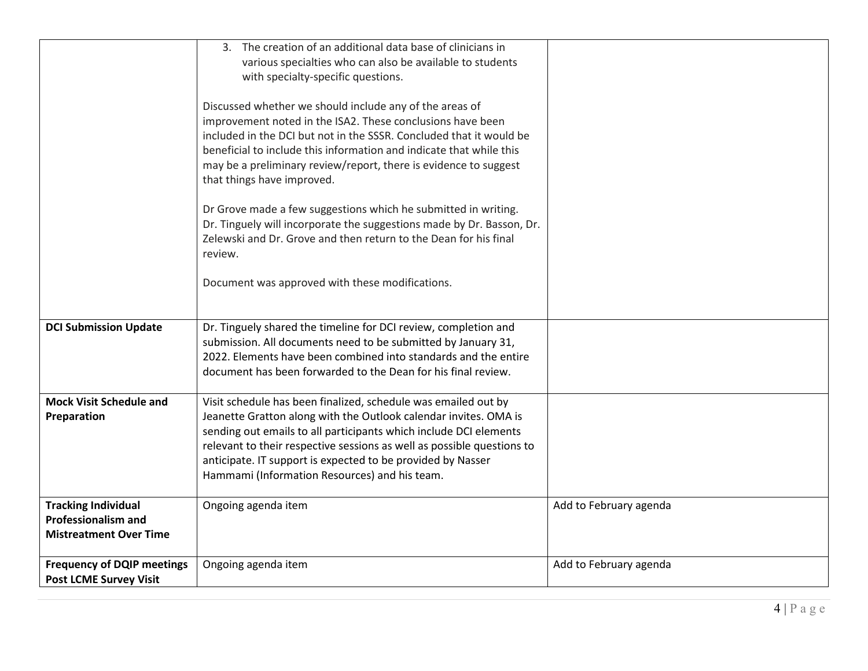|                                   | 3. The creation of an additional data base of clinicians in<br>various specialties who can also be available to students |                        |
|-----------------------------------|--------------------------------------------------------------------------------------------------------------------------|------------------------|
|                                   | with specialty-specific questions.                                                                                       |                        |
|                                   | Discussed whether we should include any of the areas of                                                                  |                        |
|                                   | improvement noted in the ISA2. These conclusions have been                                                               |                        |
|                                   | included in the DCI but not in the SSSR. Concluded that it would be                                                      |                        |
|                                   | beneficial to include this information and indicate that while this                                                      |                        |
|                                   | may be a preliminary review/report, there is evidence to suggest                                                         |                        |
|                                   | that things have improved.                                                                                               |                        |
|                                   | Dr Grove made a few suggestions which he submitted in writing.                                                           |                        |
|                                   | Dr. Tinguely will incorporate the suggestions made by Dr. Basson, Dr.                                                    |                        |
|                                   | Zelewski and Dr. Grove and then return to the Dean for his final                                                         |                        |
|                                   | review.                                                                                                                  |                        |
|                                   |                                                                                                                          |                        |
|                                   | Document was approved with these modifications.                                                                          |                        |
|                                   |                                                                                                                          |                        |
| <b>DCI Submission Update</b>      | Dr. Tinguely shared the timeline for DCI review, completion and                                                          |                        |
|                                   | submission. All documents need to be submitted by January 31,                                                            |                        |
|                                   | 2022. Elements have been combined into standards and the entire                                                          |                        |
|                                   | document has been forwarded to the Dean for his final review.                                                            |                        |
| <b>Mock Visit Schedule and</b>    | Visit schedule has been finalized, schedule was emailed out by                                                           |                        |
| Preparation                       | Jeanette Gratton along with the Outlook calendar invites. OMA is                                                         |                        |
|                                   | sending out emails to all participants which include DCI elements                                                        |                        |
|                                   | relevant to their respective sessions as well as possible questions to                                                   |                        |
|                                   | anticipate. IT support is expected to be provided by Nasser                                                              |                        |
|                                   | Hammami (Information Resources) and his team.                                                                            |                        |
| <b>Tracking Individual</b>        | Ongoing agenda item                                                                                                      | Add to February agenda |
| <b>Professionalism and</b>        |                                                                                                                          |                        |
| <b>Mistreatment Over Time</b>     |                                                                                                                          |                        |
|                                   |                                                                                                                          |                        |
| <b>Frequency of DQIP meetings</b> | Ongoing agenda item                                                                                                      | Add to February agenda |
| <b>Post LCME Survey Visit</b>     |                                                                                                                          |                        |